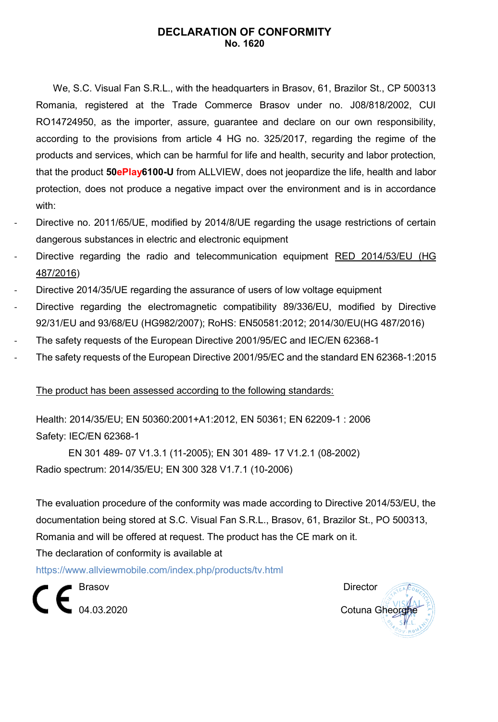## **DECLARATION OF CONFORMITY No. 1620**

We, S.C. Visual Fan S.R.L., with the headquarters in Brasov, 61, Brazilor St., CP 500313 Romania, registered at the Trade Commerce Brasov under no. J08/818/2002, CUI RO14724950, as the importer, assure, guarantee and declare on our own responsibility, according to the provisions from article 4 HG no. 325/2017, regarding the regime of the products and services, which can be harmful for life and health, security and labor protection, that the product **50ePlay6100-U** from ALLVIEW, does not jeopardize the life, health and labor protection, does not produce a negative impact over the environment and is in accordance with:

- Directive no. 2011/65/UE, modified by 2014/8/UE regarding the usage restrictions of certain dangerous substances in electric and electronic equipment
- Directive regarding the radio and telecommunication equipment RED 2014/53/EU (HG 487/2016)
- Directive 2014/35/UE regarding the assurance of users of low voltage equipment
- Directive regarding the electromagnetic compatibility 89/336/EU, modified by Directive 92/31/EU and 93/68/EU (HG982/2007); RoHS: EN50581:2012; 2014/30/EU(HG 487/2016)
- The safety requests of the European Directive 2001/95/EC and IEC/EN 62368-1
- The safety requests of the European Directive 2001/95/EC and the standard EN 62368-1:2015

#### The product has been assessed according to the following standards:

Health: 2014/35/EU; EN 50360:2001+A1:2012, EN 50361; EN 62209-1 : 2006 Safety: IEC/EN 62368-1

 EN 301 489- 07 V1.3.1 (11-2005); EN 301 489- 17 V1.2.1 (08-2002) Radio spectrum: 2014/35/EU; EN 300 328 V1.7.1 (10-2006)

The evaluation procedure of the conformity was made according to Directive 2014/53/EU, the documentation being stored at S.C. Visual Fan S.R.L., Brasov, 61, Brazilor St., PO 500313, Romania and will be offered at request. The product has the CE mark on it. The declaration of conformity is available at

<https://www.allviewmobile.com/index.php/products/tv.html>

Brasov **Director Brasil** 

∎<br>■ 04.03.2020 Cotuna Gheorg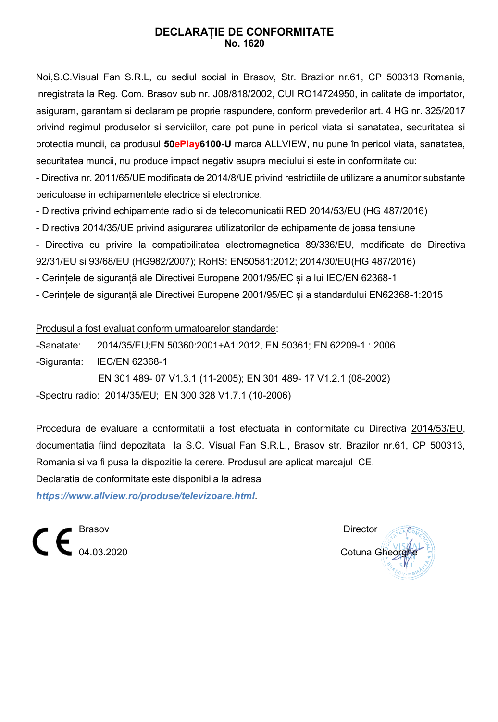## **DECLARAȚIE DE CONFORMITATE No. 1620**

Noi,S.C.Visual Fan S.R.L, cu sediul social in Brasov, Str. Brazilor nr.61, CP 500313 Romania, inregistrata la Reg. Com. Brasov sub nr. J08/818/2002, CUI RO14724950, in calitate de importator, asiguram, garantam si declaram pe proprie raspundere, conform prevederilor art. 4 HG nr. 325/2017 privind regimul produselor si serviciilor, care pot pune in pericol viata si sanatatea, securitatea si protectia muncii, ca produsul **50ePlay6100-U** marca ALLVIEW, nu pune în pericol viata, sanatatea, securitatea muncii, nu produce impact negativ asupra mediului si este in conformitate cu:

- Directiva nr. 2011/65/UE modificata de 2014/8/UE privind restrictiile de utilizare a anumitor substante periculoase in echipamentele electrice si electronice.

- Directiva privind echipamente radio si de telecomunicatii RED 2014/53/EU (HG 487/2016)

- [Directiva 2014/35/UE](https://www.legisplus.ro/Intralegis6/oficiale/afis.php?f=179242&diez=A28&link=0) privind asigurarea utilizatorilor de echipamente de joasa tensiune

- Directiva cu privire la compatibilitatea electromagnetica 89/336/EU, modificate de Directiva 92/31/EU si 93/68/EU (HG982/2007); RoHS: EN50581:2012; 2014/30/EU(HG 487/2016)

- Cerințele de siguranță ale Directivei Europene 2001/95/EC și a lui IEC/EN 62368-1

- Cerințele de siguranță ale Directivei Europene 2001/95/EC și a standardului EN62368-1:2015

Produsul a fost evaluat conform urmatoarelor standarde:

-Sanatate: 2014/35/EU;EN 50360:2001+A1:2012, EN 50361; EN 62209-1 : 2006

-Siguranta: IEC/EN 62368-1

 EN 301 489- 07 V1.3.1 (11-2005); EN 301 489- 17 V1.2.1 (08-2002) -Spectru radio: 2014/35/EU; EN 300 328 V1.7.1 (10-2006)

Procedura de evaluare a conformitatii a fost efectuata in conformitate cu Directiva 2014/53/EU, documentatia fiind depozitata la S.C. Visual Fan S.R.L., Brasov str. Brazilor nr.61, CP 500313, Romania si va fi pusa la dispozitie la cerere. Produsul are aplicat marcajul CE.

Declaratia de conformitate este disponibila la adresa *<https://www.allview.ro/produse/televizoare.html>*.

 $\epsilon \epsilon$ <sup>Brasov</sup> Director Director Director

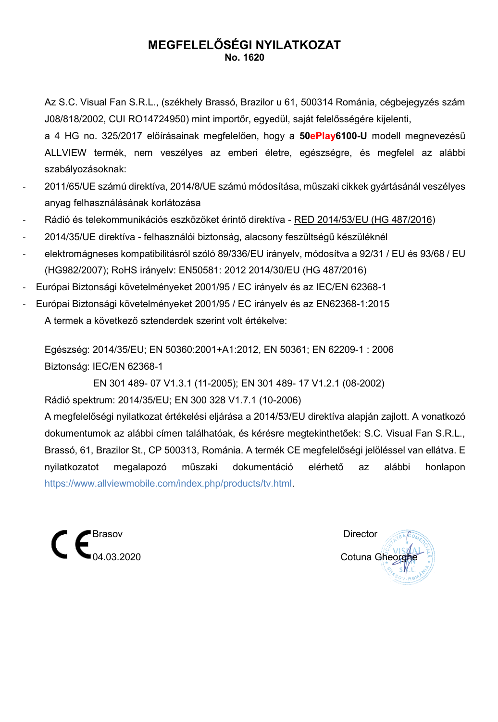# **MEGFELELŐSÉGI NYILATKOZAT No. 1620**

Az S.C. Visual Fan S.R.L., (székhely Brassó, Brazilor u 61, 500314 Románia, cégbejegyzés szám J08/818/2002, CUI RO14724950) mint importőr, egyedül, saját felelősségére kijelenti,

a 4 HG no. 325/2017 előírásainak megfelelően, hogy a **50ePlay6100-U** modell megnevezésű ALLVIEW termék, nem veszélyes az emberi életre, egészségre, és megfelel az alábbi szabályozásoknak:

- 2011/65/UE számú direktíva, 2014/8/UE számú módosítása, műszaki cikkek gyártásánál veszélyes anyag felhasználásának korlátozása
- Rádió és telekommunikációs eszközöket érintő direktíva RED 2014/53/EU (HG 487/2016)
- 2014/35/UE direktíva felhasználói biztonság, alacsony feszültségű készüléknél
- elektromágneses kompatibilitásról szóló 89/336/EU irányelv, módosítva a 92/31 / EU és 93/68 / EU (HG982/2007); RoHS irányelv: EN50581: 2012 2014/30/EU (HG 487/2016)
- Európai Biztonsági követelményeket 2001/95 / EC irányelv és az IEC/EN 62368-1
- Európai Biztonsági követelményeket 2001/95 / EC irányelv és az EN62368-1:2015 A termek a következő sztenderdek szerint volt értékelve:

Egészség: 2014/35/EU; EN 50360:2001+A1:2012, EN 50361; EN 62209-1 : 2006 Biztonság: IEC/EN 62368-1

 EN 301 489- 07 V1.3.1 (11-2005); EN 301 489- 17 V1.2.1 (08-2002) Rádió spektrum: 2014/35/EU; EN 300 328 V1.7.1 (10-2006)

A megfelelőségi nyilatkozat értékelési eljárása a 2014/53/EU direktíva alapján zajlott. A vonatkozó dokumentumok az alábbi címen találhatóak, és kérésre megtekinthetőek: S.C. Visual Fan S.R.L., Brassó, 61, Brazilor St., CP 500313, Románia. A termék CE megfelelőségi jelöléssel van ellátva. E nyilatkozatot megalapozó műszaki dokumentáció elérhető az alábbi honlapon [https://www.allviewmobile.com/index.php/products/tv.html.](https://www.allviewmobile.com/index.php/products/tv.html)



Cotuna Gheorghe